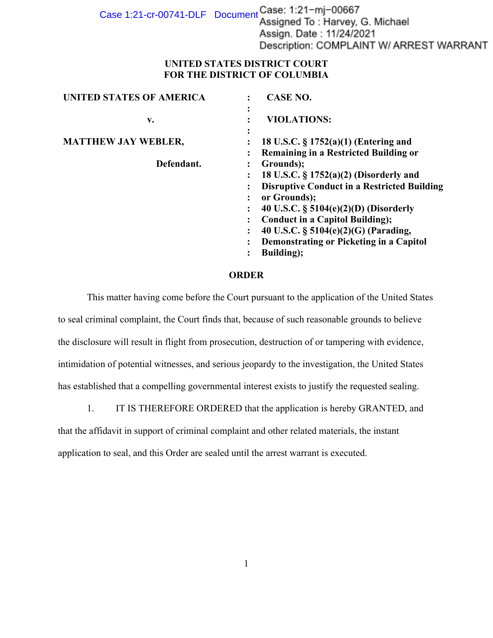Case 1:21-cr-00741-DLF Document Case: 1:21-mj-00667<br>Assigned To: Harvey, G. Michael Assign. Date: 11/24/2021 Description: COMPLAINT W/ ARREST WARRANT

## **UNITED STATES DISTRICT COURT FOR THE DISTRICT OF COLUMBIA**

| <b>UNITED STATES OF AMERICA</b> | <b>CASE NO.</b>                                                                                                                                                                                                                                                                                                             |
|---------------------------------|-----------------------------------------------------------------------------------------------------------------------------------------------------------------------------------------------------------------------------------------------------------------------------------------------------------------------------|
| v.                              | $\bullet$<br><b>VIOLATIONS:</b>                                                                                                                                                                                                                                                                                             |
| <b>MATTHEW JAY WEBLER,</b>      | 18 U.S.C. § 1752(a)(1) (Entering and<br><b>Remaining in a Restricted Building or</b>                                                                                                                                                                                                                                        |
| Defendant.                      | Grounds);<br>18 U.S.C. $\S 1752(a)(2)$ (Disorderly and<br><b>Disruptive Conduct in a Restricted Building</b><br>or Grounds);<br>40 U.S.C. $\S 5104(e)(2)(D)$ (Disorderly<br><b>Conduct in a Capitol Building);</b><br>40 U.S.C. § 5104(e)(2)(G) (Parading,<br>Demonstrating or Picketing in a Capitol<br><b>Building</b> ); |

## **ORDER**

This matter having come before the Court pursuant to the application of the United States to seal criminal complaint, the Court finds that, because of such reasonable grounds to believe the disclosure will result in flight from prosecution, destruction of or tampering with evidence, intimidation of potential witnesses, and serious jeopardy to the investigation, the United States has established that a compelling governmental interest exists to justify the requested sealing.

1. IT IS THEREFORE ORDERED that the application is hereby GRANTED, and

that the affidavit in support of criminal complaint and other related materials, the instant

application to seal, and this Order are sealed until the arrest warrant is executed.